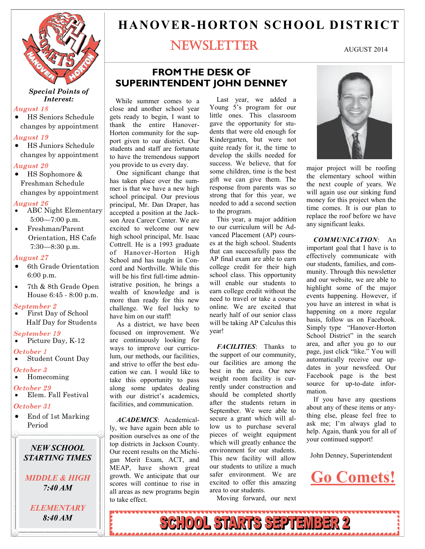

#### *Special Points of Interest:*

#### *August 18*

 HS Seniors Schedule changes by appointment

#### *August 19*

 HS Juniors Schedule changes by appointment

#### *August 20*

 HS Sophomore & Freshman Schedule changes by appointment

#### *August 26*

- ABC Night Elementary 5:00—7:00 p.m.
- Freshman/Parent Orientation, HS Cafe 7:30—8:30 p.m.

#### *August 27*

- 6th Grade Orientation 6:00 p.m.
- 7th & 8th Grade Open House 6:45 - 8:00 p.m.

#### *September 2*

 First Day of School Half Day for Students

#### *September 19*

Picture Day, K-12

#### *October 1*

 Student Count Day *October 3*

- Homecoming
- *October 29*  Elem. Fall Festival
- 

### *October 31*

• End of 1st Marking Period

#### *NEW SCHOOL STARTING TIMES STARTING TIMES NEW SCHOOL*

*MIDDLE & HIGH MIDDLE & HIGH 7:40 AM 7:40 AM*

### *ELEMENTARY ELEMENTARY 8:40 AM*

# **HANOVER-HORTON SCHOOL DISTRICT**

# NEWSLETTER

#### AUGUST 2014

## **FROM THE DESK OF SUPERINTENDENT JOHN DENNEY**

 While summer comes to a close and another school year gets ready to begin, I want to thank the entire Hanover-Horton community for the support given to our district. Our students and staff are fortunate to have the tremendous support you provide to us every day.

 One significant change that has taken place over the summer is that we have a new high school principal. Our previous principal, Mr. Dan Draper, has accepted a position at the Jackson Area Career Center. We are excited to welcome our new high school principal, Mr. Isaac Cottrell. He is a 1993 graduate of Hanover-Horton High School and has taught in Concord and Northville. While this will be his first full-time administrative position, he brings a wealth of knowledge and is more than ready for this new challenge. We feel lucky to have him on our staff!

 As a district, we have been focused on improvement. We are continuously looking for ways to improve our curriculum, our methods, our facilities, and strive to offer the best education we can. I would like to take this opportunity to pass along some updates dealing with our district's academics, facilities, and communication.

 *ACADEMICS*: Academically, we have again been able to position ourselves as one of the top districts in Jackson County. Our recent results on the Michigan Merit Exam, ACT, and MEAP, have shown great growth. We anticipate that our scores will continue to rise in all areas as new programs begin to take effect.

 Last year, we added a Young 5's program for our little ones. This classroom gave the opportunity for students that were old enough for Kindergarten, but were not quite ready for it, the time to develop the skills needed for success. We believe, that for some children, time is the best gift we can give them. The response from parents was so strong that for this year, we needed to add a second section to the program.

 This year, a major addition to our curriculum will be Advanced Placement (AP) courses at the high school. Students that can successfully pass the AP final exam are able to earn college credit for their high school class. This opportunity will enable our students to earn college credit without the need to travel or take a course online. We are excited that nearly half of our senior class will be taking AP Calculus this year!

 *FACILITIES*: Thanks to the support of our community, our facilities are among the best in the area. Our new weight room facility is currently under construction and should be completed shortly after the students return in September. We were able to secure a grant which will allow us to purchase several pieces of weight equipment which will greatly enhance the environment for our students. This new facility will allow our students to utilize a much safer environment. We are excited to offer this amazing area to our students.

Moving forward, our next

*8:40 AM* SCHOOL STARTS SEPTEMBER 2



major project will be roofing the elementary school within the next couple of years. We will again use our sinking fund money for this project when the time comes. It is our plan to replace the roof before we have any significant leaks.

 *COMMUNICATION*: An important goal that I have is to effectively communicate with our students, families, and community. Through this newsletter and our website, we are able to highlight some of the major events happening. However, if you have an interest in what is happening on a more regular basis, follow us on Facebook. Simply type "Hanover-Horton School District" in the search area, and after you go to our page, just click "like." You will automatically receive our updates in your newsfeed. Our Facebook page is the best source for up-to-date information.

 If you have any questions about any of these items or anything else, please feel free to ask me; I'm always glad to help. Again, thank you for all of your continued support!

John Denney, Superintendent



<u>www.er</u>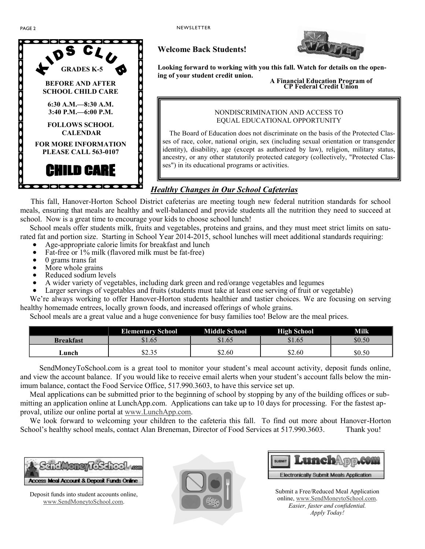



### **Welcome Back Students!**

**Looking forward to working with you this fall. Watch for details on the opening of your student credit union. A Financial Education Program of CP Federal Credit Union** 

#### NONDISCRIMINATION AND ACCESS TO EQUAL EDUCATIONAL OPPORTUNITY

 The Board of Education does not discriminate on the basis of the Protected Classes of race, color, national origin, sex (including sexual orientation or transgender identity), disability, age (except as authorized by law), religion, military status, ancestry, or any other statutorily protected category (collectively, "Protected Classes") in its educational programs or activities.

### *Healthy Changes in Our School Cafeterias*

 This fall, Hanover-Horton School District cafeterias are meeting tough new federal nutrition standards for school meals, ensuring that meals are healthy and well-balanced and provide students all the nutrition they need to succeed at school. Now is a great time to encourage your kids to choose school lunch!

 School meals offer students milk, fruits and vegetables, proteins and grains, and they must meet strict limits on saturated fat and portion size. Starting in School Year 2014-2015, school lunches will meet additional standards requiring:

- Age-appropriate calorie limits for breakfast and lunch
- Fat-free or 1% milk (flavored milk must be fat-free)
- $\bullet$  0 grams trans fat
- More whole grains
- Reduced sodium levels
- A wider variety of vegetables, including dark green and red/orange vegetables and legumes
- Larger servings of vegetables and fruits (students must take at least one serving of fruit or vegetable)

We're always working to offer Hanover-Horton students healthier and tastier choices. We are focusing on serving healthy homemade entrees, locally grown foods, and increased offerings of whole grains.

School meals are a great value and a huge convenience for busy families too! Below are the meal prices.

|                  | <b>Elementary School</b> | <b>Middle School</b> | <b>High School</b> | Milk   |
|------------------|--------------------------|----------------------|--------------------|--------|
| <b>Breakfast</b> | \$1.65                   | \$1.65               | \$1.65             | \$0.50 |
| ∟unch            | <b>¢つ つく</b><br>ل و که   | \$2.60               | \$2.60             | \$0.50 |

 SendMoneyToSchool.com is a great tool to monitor your student's meal account activity, deposit funds online, and view the account balance. If you would like to receive email alerts when your student's account falls below the minimum balance, contact the Food Service Office, 517.990.3603, to have this service set up.

 Meal applications can be submitted prior to the beginning of school by stopping by any of the building offices or submitting an application online at LunchApp.com. Applications can take up to 10 days for processing. For the fastest approval, utilize our online portal at www.LunchApp.com.

 We look forward to welcoming your children to the cafeteria this fall. To find out more about Hanover-Horton School's healthy school meals, contact Alan Breneman, Director of Food Services at 517.990.3603. Thank you!



Deposit funds into student accounts online, www.SendMoneytoSchool.com.



| suewr Lunch mo.com                             |
|------------------------------------------------|
| <b>Electronically Submit Meals Application</b> |

Submit a Free/Reduced Meal Application online, www.SendMoneytoSchool.com. *Easier, faster and confidential. Apply Today!*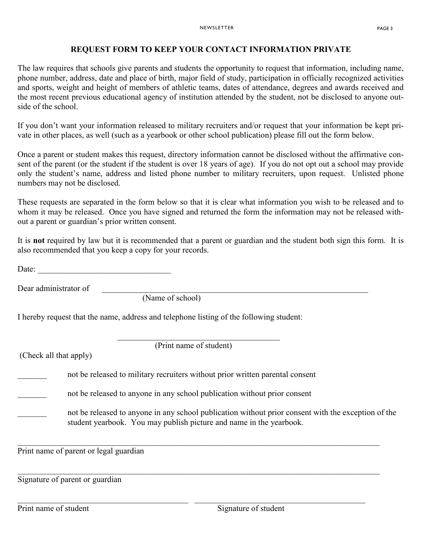### **REQUEST FORM TO KEEP YOUR CONTACT INFORMATION PRIVATE**

The law requires that schools give parents and students the opportunity to request that information, including name, phone number, address, date and place of birth, major field of study, participation in officially recognized activities and sports, weight and height of members of athletic teams, dates of attendance, degrees and awards received and the most recent previous educational agency of institution attended by the student, not be disclosed to anyone outside of the school.

If you don't want your information released to military recruiters and/or request that your information be kept private in other places, as well (such as a yearbook or other school publication) please fill out the form below.

Once a parent or student makes this request, directory information cannot be disclosed without the affirmative consent of the parent (or the student if the student is over 18 years of age). If you do not opt out a school may provide only the student's name, address and listed phone number to military recruiters, upon request. Unlisted phone numbers may not be disclosed.

These requests are separated in the form below so that it is clear what information you wish to be released and to whom it may be released. Once you have signed and returned the form the information may not be released without a parent or guardian's prior written consent.

It is **not** required by law but it is recommended that a parent or guardian and the student both sign this form. It is also recommended that you keep a copy for your records.

Date:

Dear administrator of \_\_\_\_\_\_\_\_\_\_\_\_\_\_\_\_\_\_\_\_\_\_\_\_\_\_\_\_\_\_\_\_\_\_\_\_\_\_\_\_\_\_\_\_\_\_\_\_\_\_\_\_\_\_\_\_\_\_\_\_\_\_\_\_

(Name of school)

 $\mathcal{L}_\mathcal{L}$  , which is a substitution of the set of the set of the set of the set of the set of the set of the set of the set of the set of the set of the set of the set of the set of the set of the set of the set of t

I hereby request that the name, address and telephone listing of the following student:

(Print name of student)

(Check all that apply)

not be released to military recruiters without prior written parental consent

not be released to anyone in any school publication without prior consent

not be released to anyone in any school publication without prior consent with the exception of the student yearbook. You may publish picture and name in the yearbook.

\_\_\_\_\_\_\_\_\_\_\_\_\_\_\_\_\_\_\_\_\_\_\_\_\_\_\_\_\_\_\_\_\_\_\_\_\_\_\_\_\_\_\_\_\_\_\_\_\_\_\_\_\_\_\_\_\_\_\_\_\_\_\_\_\_\_\_\_\_\_\_\_\_\_\_\_\_\_\_\_\_\_\_\_\_\_\_

\_\_\_\_\_\_\_\_\_\_\_\_\_\_\_\_\_\_\_\_\_\_\_\_\_\_\_\_\_\_\_\_\_\_\_\_\_\_\_\_\_\_\_\_\_\_\_\_\_\_\_\_\_\_\_\_\_\_\_\_\_\_\_\_\_\_\_\_\_\_\_\_\_\_\_\_\_\_\_\_\_\_\_\_\_\_\_

\_\_\_\_\_\_\_\_\_\_\_\_\_\_\_\_\_\_\_\_\_\_\_\_\_\_\_\_\_\_\_\_\_\_\_\_\_\_\_\_\_ \_\_\_\_\_\_\_\_\_\_\_\_\_\_\_\_\_\_\_\_\_\_\_\_\_\_\_\_\_\_\_\_\_\_\_\_\_\_\_\_\_

Print name of parent or legal guardian

Signature of parent or guardian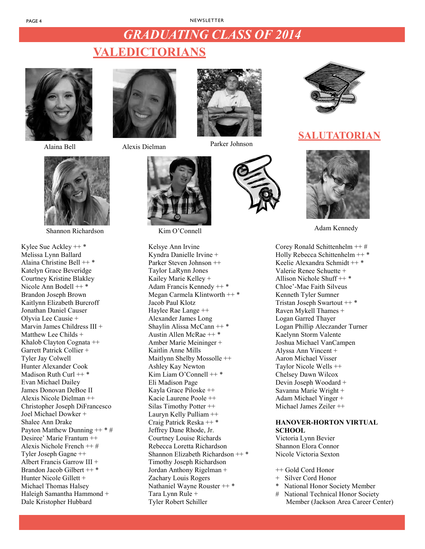# *GRADUATING CLASS OF 2014 GRADUATING CLASS OF 2014*

Parker Johnson

# **VALEDICTORIANS valedictorians**





Shannon Richardson

Kylee Sue Ackley ++ \* Melissa Lynn Ballard Alaina Christine Bell ++ \* Katelyn Grace Beveridge Courtney Kristine Blakley Nicole Ann Bodell ++ \* Brandon Joseph Brown Kaitlynn Elizabeth Burcroff Jonathan Daniel Causer Olyvia Lee Causie + Marvin James Childress III + Matthew Lee Childs + Khalob Clayton Cognata ++ Garrett Patrick Collier + Tyler Jay Colwell Hunter Alexander Cook Madison Ruth Curl ++ \* Evan Michael Dailey James Donovan DeBoe II Alexis Nicole Dielman ++ Christopher Joseph DiFrancesco Joel Michael Dowker + Shalee Ann Drake Payton Matthew Dunning  $++$  \* # Desiree' Marie Frantum ++ Alexis Nichole French ++ # Tyler Joseph Gagne ++ Albert Francis Garrow III + Brandon Jacob Gilbert ++ \* Hunter Nicole Gillett + Michael Thomas Halsey Haleigh Samantha Hammond + Dale Kristopher Hubbard



Alaina Bell Alexis Dielman



Kim O'Connell

Kelsye Ann Irvine Kyndra Danielle Irvine + Parker Steven Johnson ++ Taylor LaRynn Jones Kailey Marie Kelley + Adam Francis Kennedy ++ \* Megan Carmela Klintworth ++ \* Jacob Paul Klotz Haylee Rae Lange ++ Alexander James Long Shaylin Alissa McCann ++ \* Austin Allen McRae ++ \* Amber Marie Meininger + Kaitlin Anne Mills Maitlynn Shelby Mossolle ++ Ashley Kay Newton Kim Liam O'Connell ++ \* Eli Madison Page Kayla Grace Piloske ++ Kacie Laurene Poole ++ Silas Timothy Potter ++ Lauryn Kelly Pulliam ++ Craig Patrick Reska ++ \* Jeffrey Dane Rhode, Jr. Courtney Louise Richards Rebecca Loretta Richardson Shannon Elizabeth Richardson ++ \* Timothy Joseph Richardson Jordan Anthony Rigelman + Zachary Louis Rogers Nathaniel Wayne Rouster ++ \* Tara Lynn Rule + Tyler Robert Schiller



# **SALUTATORIAN salutatorian**



Adam Kennedy

Corey Ronald Schittenhelm ++ # Holly Rebecca Schittenhelm ++ \* Keelie Alexandra Schmidt ++ \* Valerie Renee Schuette + Allison Nichole Shuff ++ \* Chloe'-Mae Faith Silveus Kenneth Tyler Sumner Tristan Joseph Swartout ++ \* Raven Mykell Thames + Logan Garred Thayer Logan Phillip Aleczander Turner Kaelynn Storm Valente Joshua Michael VanCampen Alyssa Ann Vincent + Aaron Michael Visser Taylor Nicole Wells ++ Chelsey Dawn Wilcox Devin Joseph Woodard + Savanna Marie Wright + Adam Michael Yinger + Michael James Zeiler ++

#### **HANOVER-HORTON VIRTUAL SCHOOL**

Victoria Lynn Bevier Shannon Elora Connor Nicole Victoria Sexton

++ Gold Cord Honor

- + Silver Cord Honor
- National Honor Society Member
- # National Technical Honor Society Member (Jackson Area Career Center)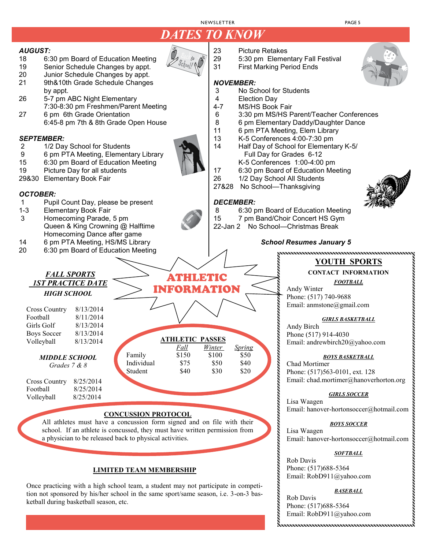# DATES TO KNOW *DATES TO KNOW*

#### *AUGUST:*

- 18 6:30 pm Board of Education Meeting
- 19 Senior Schedule Changes by appt.<br>20 Junior Schedule Changes by appt.
- Junior Schedule Changes by appt.
- 21 9th&10th Grade Schedule Changes by appt.
- 26 5-7 pm ABC Night Elementary 7:30-8:30 pm Freshmen/Parent Meeting
- 27 6 pm 6th Grade Orientation 6:45-8 pm 7th & 8th Grade Open House

#### *SEPTEMBER:*

- 2 1/2 Day School for Students
- 9 6 pm PTA Meeting, Elementary Library<br>15 6:30 pm Board of Education Meeting
- 6:30 pm Board of Education Meeting
- 19 Picture Day for all students
- 29&30 Elementary Book Fair

#### *OCTOBER:*

- 1 Pupil Count Day, please be present<br>1-3 Elementary Book Fair
- Elementary Book Fair

*HIGH SCHOOL* 

*FALL SPORTS 1ST PRACTICE DATE*

Cross Country 8/13/2014

Volleyball 8/25/2014

- 3 Homecoming Parade, 5 pm Queen & King Crowning @ Halftime Homecoming Dance after game
- 14 6 pm PTA Meeting, HS/MS Library
- 20 6:30 pm Board of Education Meeting

Football 8/11/2014 Girls Golf 8/13/2014 Boys Soccer 8/13/2014 Volleyball 8/13/2014 *MIDDLE SCHOOL Grades 7 & 8* Cross Country 8/25/2014 Football 8/25/2014 **ATHLETIC PASSES** *Fall Winter Spring*  Family \$150 \$100 \$50 Individual \$75 \$50 \$40<br>Student \$40 \$30 \$20 Student

#### **CONCUSSION PROTOCOL**

All athletes must have a concussion form signed and on file with their school. If an athlete is concussed, they must have written permission from a physician to be released back to physical activities.

#### **LIMITED TEAM MEMBERSHIP**

Once practicing with a high school team, a student may not participate in competition not sponsored by his/her school in the same sport/same season, i.e. 3-on-3 basketball during basketball season, etc.

- 23 Picture Retakes
- 29 5:30 pm Elementary Fall Festival<br>31 First Marking Period Ends
	- **First Marking Period Ends**

# *NOVEMBER:*

- No School for Students
- 4 Election Day<br>4-7 MS/HS Book
- 4-7 MS/HS Book Fair<br>6 3:30 pm MS/HS P
- 6 3:30 pm MS/HS Parent/Teacher Conferences
- 8 6 pm Elementary Daddy/Daughter Dance
- 11 6 pm PTA Meeting, Elem Library<br>13 K-5 Conferences 4:00-7:30 pm
- K-5 Conferences 4:00-7:30 pm
- 14 Half Day of School for Elementary K-5/ Full Day for Grades 6-12 K-5 Conferences 1:00-4:00 pm
- 17 6:30 pm Board of Education Meeting
- 26 1/2 Day School All Students
- 
- 27&28 No School—Thanksgiving

#### *DECEMBER:*

- 8 6:30 pm Board of Education Meeting
- 15 7 pm Band/Choir Concert HS Gym
- 22-Jan 2 No School—Christmas Break

#### *School Resumes January 5*

### **YOUTH SPORTS**

### **CONTACT INFORMATION**

*FOOTBALL* 

Andy Winter Phone: (517) 740-9688 Email: anmstone@gmail.com

#### *GIRLS BASKETBALL*

Andy Birch Phone (517) 914-4030 Email: andrewbirch20@yahoo.com

#### *BOYS BASKETBALL*

Chad Mortimer Phone: (517)563-0101, ext. 128 Email: chad.mortimer@hanoverhorton.org

#### *GIRLS SOCCER*

Lisa Waagen Email: hanover-hortonsoccer@hotmail.com

#### *BOYS SOCCER*

Lisa Waagen Email: hanover-hortonsoccer@hotmail.com

#### *SOFTBALL*

Rob Davis Phone: (517)688-5364 Email: RobD911@yahoo.com

#### *BASEBALL*

Rob Davis Phone: (517)688-5364 Email: RobD911@yahoo.com





ATHLETIC ATHLETIC INFORMATION INFORMATION

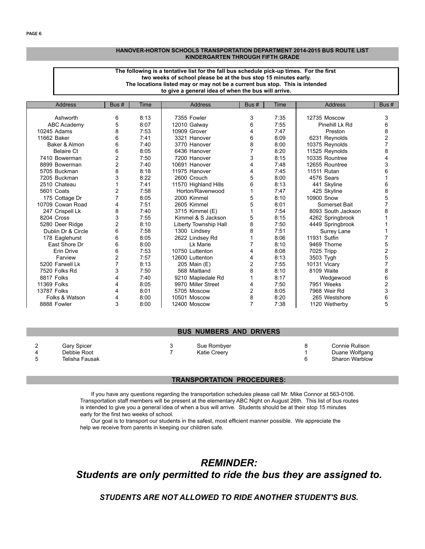#### **HANOVER-HORTON SCHOOLS TRANSPORTATION DEPARTMENT 2014-2015 BUS ROUTE LIST KINDERGARTEN THROUGH FIFTH GRADE**

#### **two weeks of school please be at the bus stop 15 minutes early. The locations listed may or may not be a current bus stop. This is intended to give a general idea of when the bus will arrive. The following is a tentative list for the fall bus schedule pick-up times. For the first**

| Address            | Bus#           | Time | <b>Address</b>        | Bus #          | Time | Address            | Bus #          |
|--------------------|----------------|------|-----------------------|----------------|------|--------------------|----------------|
|                    |                |      |                       |                |      |                    |                |
| Ashworth           | 6              | 8:13 | 7355 Fowler           | 3              | 7:35 | 12735 Moscow       | 3              |
| ABC Academy        | 5              | 8:07 | 12010 Galway          | 6              | 7:55 | Pinehill Lk Rd     | 6              |
| 10245 Adams        | 8              | 7:53 | 10909 Grover          | 4              | 7:47 | Preston            | 8              |
| 11662 Baker        | 6              | 7:41 | 3321 Hanover          | 6              | 8:09 | 6231 Reynolds      | 2              |
| Baker & Almon      | 6              | 7:40 | 3770 Hanover          | 8              | 8:00 | 10375 Reynolds     | 7              |
| <b>Belaire Ct</b>  | 6              | 8:05 | 6436 Hanover          |                | 8:20 | 11525 Reynolds     | 8              |
| 7410 Bowerman      | 2              | 7:50 | 7200 Hanover          | 3              | 8:15 | 10335 Rountree     |                |
| 8899 Bowerman      | 2              | 7:40 | 10691 Hanover         | 4              | 7:48 | 12655 Rountree     | 3              |
| 5705 Buckman       | 8              | 8:18 | 11975 Hanover         | 4              | 7:45 | 11511 Rutan        |                |
| 7205 Buckman       | 3              | 8:22 | 2600 Crouch           | 5              | 8:00 | 4576 Sears         |                |
| 2510 Chateau       |                | 7:41 | 11570 Highland Hills  | 6              | 8:13 | 441 Skyline        | 6              |
| 5601 Coats         | 2              | 7:58 | Horton/Ravenwood      |                | 7:47 | 425 Skyline        | 8              |
| 175 Cottage Dr     | 7              | 8:05 | 2000 Kimmel           | 5              | 8:10 | 10900 Snow         | 5              |
| 10709 Cowan Road   | 4              | 7:51 | 2605 Kimmel           | 5              | 8:01 | Somerset Bait      |                |
| 247 Crispell Lk    | 8              | 7:40 | 3715 Kimmel (E)       |                | 7:54 | 8093 South Jackson | 8              |
| 8204 Cross         | 3              | 7:55 | Kimmel & S Jackson    | 5              | 8:15 | 4262 Springbrook   |                |
| 5280 Deer Ridge    | $\overline{2}$ | 8:10 | Liberty Township Hall | 8              | 7:50 | 4449 Springbrook   |                |
| Dublin Dr & Circle | 6              | 7:58 | 1300 Lindsey          | 8              | 7:51 | Surrey Lane        |                |
| 178 Eaglehurst     | 6              | 8:05 | 2622 Lindsey Rd       |                | 8:06 | 11931 Sutfin       |                |
| East Shore Dr      | 6              | 8:00 | Lk Marie              |                | 8:10 | 9469 Thorne        | 5              |
| Erin Drive         | 6              | 7:53 | 10750 Luttenton       | 4              | 8:08 | 7025 Tripp         | 2              |
| Farview            | $\overline{c}$ | 7:57 | 12600 Luttenton       | 4              | 8:13 | 3503 Tygh          | 5              |
| 5200 Farwell Lk    | 7              | 8:13 | 205 Main (E)          | $\overline{c}$ | 7:55 | 10131 Vicary       |                |
| 7520 Folks Rd      | 3              | 7:50 | 568 Maitland          | 8              | 8:10 | 8109 Waite         | 8              |
| 8817 Folks         |                | 7:40 | 9210 Mapledale Rd     |                | 8:17 | Wedgewood          | 6              |
| <b>11369 Folks</b> | 4              | 8:05 | 9970 Miller Street    | 4              | 7:50 | 7951 Weeks         | $\overline{c}$ |
| <b>13787 Folks</b> |                | 8:01 | 5705 Moscow           | 2              | 8:05 | 7968 Weir Rd       | 3              |
| Folks & Watson     | 4              | 8:00 | 10501 Moscow          | 8              | 8:20 | 265 Westshore      | 6              |
| 8888 Fowler        | 3              | 8:00 | 12400 Moscow          | 7              | 7:38 | 1120 Wetherby      | 5              |

#### **BUS NUMBERS AND DRIVERS**

| Gary Spicer<br>Debbie Root | Sue Rombyer<br><b>Katie Creerv</b> | Connie Rulison<br>Duane Wolfgang |
|----------------------------|------------------------------------|----------------------------------|
| Telisha Fausak             |                                    | <b>Sharon Warblow</b>            |

#### **TRANSPORTATION PROCEDURES:**

 If you have any questions regarding the transportation schedules please call Mr. Mike Connor at 563-0106. Transportation staff members will be present at the elementary ABC Night on August 26th. This list of bus routes is intended to give you a general idea of when a bus will arrive. Students should be at their stop 15 minutes early for the first two weeks of school.

 Our goal is to transport our students in the safest, most efficient manner possible. We appreciate the help we receive from parents in keeping our children safe.

# *REMINDER: Students are only permitted to ride the bus they are assigned to.*

*STUDENTS ARE NOT ALLOWED TO RIDE ANOTHER STUDENT'S BUS.*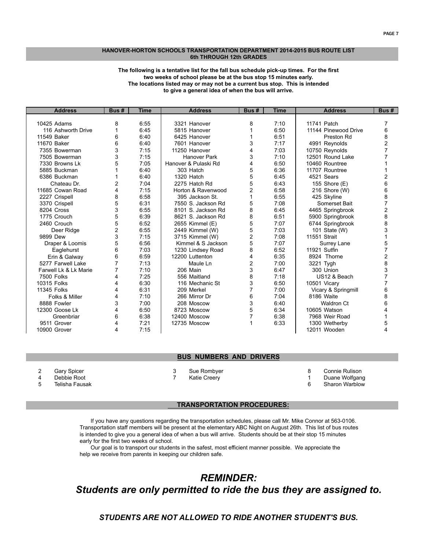#### **6th THROUGH 12th GRADES HANOVER-HORTON SCHOOLS TRANSPORTATION DEPARTMENT 2014-2015 BUS ROUTE LIST**

#### **The following is a tentative list for the fall bus schedule pick-up times. For the first two weeks of school please be at the bus stop 15 minutes early. The locations listed may or may not be a current bus stop. This is intended to give a general idea of when the bus will arrive.**

| <b>Address</b>        | Bus #          | Time | <b>Address</b>       | Bus # | Time | <b>Address</b>       | Bus# |
|-----------------------|----------------|------|----------------------|-------|------|----------------------|------|
|                       |                |      |                      |       |      |                      |      |
| 10425 Adams           | 8              | 6:55 | 3321 Hanover         | 8     | 7:10 | 11741 Patch          |      |
| 116 Ashworth Drive    |                | 6:45 | 5815 Hanover         |       | 6:50 | 11144 Pinewood Drive | 6    |
| 11549 Baker           | 6              | 6:40 | 6425 Hanover         |       | 6:51 | <b>Preston Rd</b>    | 8    |
| 11670 Baker           | 6              | 6:40 | 7601 Hanover         | 3     | 7:17 | 4991 Reynolds        | 2    |
| 7355 Bowerman         | 3              | 7:15 | 11250 Hanover        | 4     | 7:03 | 10750 Reynolds       |      |
| 7505 Bowerman         | 3              | 7:15 | Hanover Park         | 3     | 7:10 | 12501 Round Lake     |      |
| 7330 Browns Lk        | 5              | 7:05 | Hanover & Pulaski Rd | 4     | 6:50 | 10460 Rountree       |      |
| 5885 Buckman          |                | 6:40 | 303 Hatch            | 5     | 6:36 | 11707 Rountree       |      |
| 6386 Buckman          |                | 6:40 | 1320 Hatch           | 5     | 6:45 | 4521 Sears           | 2    |
| Chateau Dr.           | $\overline{2}$ | 7:04 | 2275 Hatch Rd        | 5     | 6:43 | 155 Shore (E)        | 6    |
| 11685 Cowan Road      | 4              | 7:15 | Horton & Ravenwood   | 2     | 6:58 | 216 Shore (W)        | 6    |
| 2227 Crispell         | 8              | 6:58 | 395 Jackson St.      |       | 6:55 | 425 Skyline          | 8    |
| 3370 Crispell         | 5              | 6:31 | 7550 S. Jackson Rd   | 5     | 7:08 | Somerset Bait        | 7    |
| 8204 Cross            | 3              | 6:55 | 8101 S. Jackson Rd   | 8     | 6:45 | 4465 Springbrook     | 2    |
| 1775 Crouch           | 5              | 6:39 | 8621 S. Jackson Rd   | 8     | 6:51 | 5900 Springbrook     | 8    |
| 2460 Crouch           | 5              | 6:52 | 2655 Kimmel (E)      | 5     | 7:07 | 6744 Springbrook     | 8    |
| Deer Ridge            | 2              | 6:55 | 2449 Kimmel (W)      | 5     | 7:03 | 101 State (W)        | 3    |
| 9899 Dew              | 3              | 7:15 | 3715 Kimmel (W)      | 2     | 7:08 | 11551 Strait         |      |
| Draper & Loomis       | 5              | 6:56 | Kimmel & S Jackson   | 5     | 7:07 | Surrey Lane          | 5    |
| Eaglehurst            | 6              | 7:03 | 1230 Lindsey Road    | 8     | 6:52 | 11921 Sutfin         | 7    |
| Erin & Galway         | 6              | 6:59 | 12200 Luttenton      | 4     | 6:35 | 8924 Thorne          | 2    |
| 5277 Farwell Lake     | $\overline{7}$ | 7:13 | Maule Ln             | 2     | 7:00 | 3221 Tygh            | 8    |
| Farwell Lk & Lk Marie | 7              | 7:10 | 206 Main             | 3     | 6:47 | 300 Union            | 3    |
| 7500 Folks            | 4              | 7:25 | 556 Maitland         | 8     | 7:18 | US12 & Beach         |      |
| 10315 Folks           | 4              | 6:30 | 116 Mechanic St      | 3     | 6:50 | 10501 Vicary         |      |
| 11345 Folks           | 4              | 6:31 | 209 Merkel           |       | 7:00 | Vicary & Springmill  | 6    |
| Folks & Miller        | 4              | 7:10 | 266 Mirror Dr        | 6     | 7:04 | 8186 Waite           | 8    |
| 8888 Fowler           | 3              | 7:00 | 208 Moscow           | 3     | 6:40 | <b>Waldron Ct</b>    | 6    |
| 12300 Goose Lk        | 4              | 6:50 | 8723 Moscow          | 5     | 6:34 | 10605 Watson         | 4    |
| Greenbriar            | 6              | 6:38 | 12400 Moscow         |       | 6:38 | 7968 Weir Road       |      |
| 9511 Grover           | 4              | 7:21 | 12735 Moscow         |       | 6:33 | 1300 Wetherby        | 5    |
| 10900 Grover          | 4              | 7:15 |                      |       |      | 12011 Wooden         | 4    |

#### **BUS NUMBERS AND DRIVERS**

2 Gary Spicer 3 Sue Rombyer 8 Connie Rulison

4 Debbie Root 7 Katie Creery 1 Duane Wolfgang

Sharon Warblow

#### **TRANSPORTATION PROCEDURES:**

 If you have any questions regarding the transportation schedules, please call Mr. Mike Connor at 563-0106. Transportation staff members will be present at the elementary ABC Night on August 26th. This list of bus routes is intended to give you a general idea of when a bus will arrive. Students should be at their stop 15 minutes early for the first two weeks of school.

 Our goal is to transport our students in the safest, most efficient manner possible. We appreciate the help we receive from parents in keeping our children safe.

# *REMINDER: Students are only permitted to ride the bus they are assigned to.*

### *STUDENTS ARE NOT ALLOWED TO RIDE ANOTHER STUDENT'S BUS.*